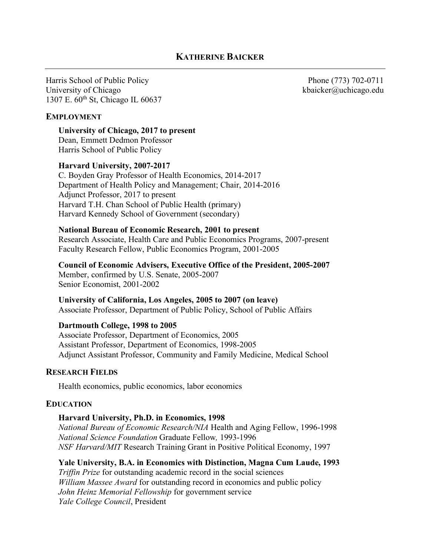Harris School of Public Policy Phone (773) 702-0711 University of Chicago compared to the state of Chicago.edu kbaicker@uchicago.edu 1307 E. 60<sup>th</sup> St, Chicago IL 60637

## **EMPLOYMENT**

**University of Chicago, 2017 to present** Dean, Emmett Dedmon Professor Harris School of Public Policy

### **Harvard University, 2007-2017**

C. Boyden Gray Professor of Health Economics, 2014-2017 Department of Health Policy and Management; Chair, 2014-2016 Adjunct Professor, 2017 to present Harvard T.H. Chan School of Public Health (primary) Harvard Kennedy School of Government (secondary)

### **National Bureau of Economic Research, 2001 to present**

Research Associate, Health Care and Public Economics Programs, 2007-present Faculty Research Fellow, Public Economics Program, 2001-2005

**Council of Economic Advisers, Executive Office of the President, 2005-2007**

Member, confirmed by U.S. Senate, 2005-2007 Senior Economist, 2001-2002

#### **University of California, Los Angeles, 2005 to 2007 (on leave)**

Associate Professor, Department of Public Policy, School of Public Affairs

#### **Dartmouth College, 1998 to 2005**

Associate Professor, Department of Economics, 2005 Assistant Professor, Department of Economics, 1998-2005 Adjunct Assistant Professor, Community and Family Medicine, Medical School

#### **RESEARCH FIELDS**

Health economics, public economics, labor economics

## **EDUCATION**

#### **Harvard University, Ph.D. in Economics, 1998**

*National Bureau of Economic Research/NIA* Health and Aging Fellow, 1996-1998 *National Science Foundation* Graduate Fellow*,* 1993-1996 *NSF Harvard/MIT* Research Training Grant in Positive Political Economy, 1997

**Yale University, B.A. in Economics with Distinction, Magna Cum Laude, 1993** *Triffin Prize* for outstanding academic record in the social sciences *William Massee Award* for outstanding record in economics and public policy *John Heinz Memorial Fellowship* for government service *Yale College Council*, President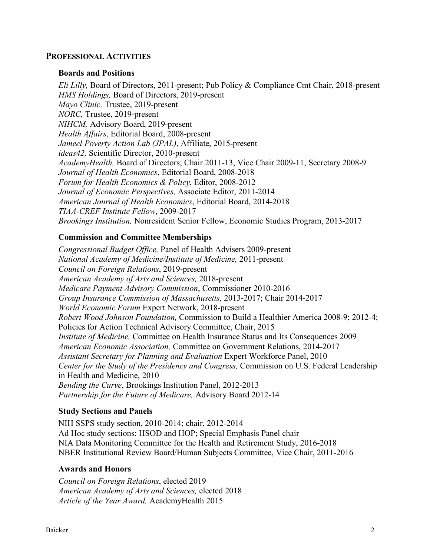## **PROFESSIONAL ACTIVITIES**

#### **Boards and Positions**

*Eli Lilly,* Board of Directors, 2011-present; Pub Policy & Compliance Cmt Chair, 2018-present *HMS Holdings,* Board of Directors, 2019-present *Mayo Clinic,* Trustee, 2019-present *NORC,* Trustee, 2019-present *NIHCM,* Advisory Board, 2019-present *Health Affairs*, Editorial Board, 2008-present *Jameel Poverty Action Lab (JPAL)*, Affiliate, 2015-present *ideas42,* Scientific Director, 2010-present *AcademyHealth,* Board of Directors; Chair 2011-13, Vice Chair 2009-11, Secretary 2008-9 *Journal of Health Economics*, Editorial Board, 2008-2018 *Forum for Health Economics & Policy*, Editor, 2008-2012 *Journal of Economic Perspectives,* Associate Editor, 2011-2014 *American Journal of Health Economics*, Editorial Board, 2014-2018 *TIAA-CREF Institute Fellow*, 2009-2017 *Brookings Institution,* Nonresident Senior Fellow, Economic Studies Program, 2013-2017

# **Commission and Committee Memberships**

*Congressional Budget Office,* Panel of Health Advisers 2009-present *National Academy of Medicine/Institute of Medicine,* 2011-present *Council on Foreign Relations*, 2019-present *American Academy of Arts and Sciences,* 2018-present *Medicare Payment Advisory Commission*, Commissioner 2010-2016 *Group Insurance Commission of Massachusetts*, 2013-2017; Chair 2014-2017 *World Economic Forum* Expert Network, 2018-present *Robert Wood Johnson Foundation,* Commission to Build a Healthier America 2008-9; 2012-4; Policies for Action Technical Advisory Committee, Chair, 2015 *Institute of Medicine,* Committee on Health Insurance Status and Its Consequences 2009 *American Economic Association,* Committee on Government Relations, 2014-2017 *Assistant Secretary for Planning and Evaluation* Expert Workforce Panel, 2010 *Center for the Study of the Presidency and Congress,* Commission on U.S. Federal Leadership in Health and Medicine, 2010 *Bending the Curve*, Brookings Institution Panel, 2012-2013 *Partnership for the Future of Medicare,* Advisory Board 2012-14

## **Study Sections and Panels**

NIH SSPS study section, 2010-2014; chair, 2012-2014 Ad Hoc study sections: HSOD and HOP; Special Emphasis Panel chair NIA Data Monitoring Committee for the Health and Retirement Study, 2016-2018 NBER Institutional Review Board/Human Subjects Committee, Vice Chair, 2011-2016

#### **Awards and Honors**

*Council on Foreign Relations*, elected 2019 *American Academy of Arts and Sciences,* elected 2018 *Article of the Year Award,* AcademyHealth 2015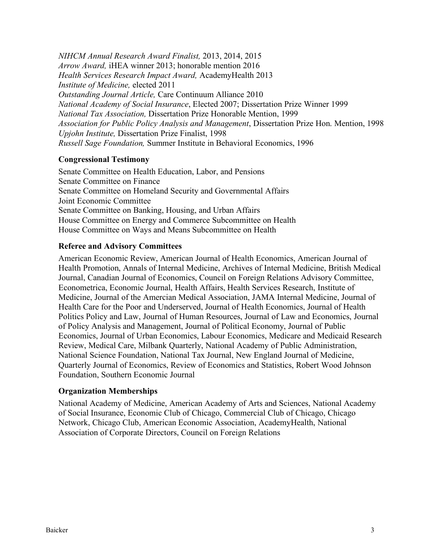*NIHCM Annual Research Award Finalist,* 2013, 2014, 2015 *Arrow Award,* iHEA winner 2013; honorable mention 2016 *Health Services Research Impact Award,* AcademyHealth 2013 *Institute of Medicine,* elected 2011 *Outstanding Journal Article,* Care Continuum Alliance 2010 *National Academy of Social Insurance*, Elected 2007; Dissertation Prize Winner 1999 *National Tax Association,* Dissertation Prize Honorable Mention, 1999 *Association for Public Policy Analysis and Management*, Dissertation Prize Hon. Mention, 1998 *Upjohn Institute,* Dissertation Prize Finalist, 1998 *Russell Sage Foundation,* Summer Institute in Behavioral Economics, 1996

# **Congressional Testimony**

Senate Committee on Health Education, Labor, and Pensions Senate Committee on Finance Senate Committee on Homeland Security and Governmental Affairs Joint Economic Committee Senate Committee on Banking, Housing, and Urban Affairs House Committee on Energy and Commerce Subcommittee on Health House Committee on Ways and Means Subcommittee on Health

# **Referee and Advisory Committees**

American Economic Review, American Journal of Health Economics, American Journal of Health Promotion, Annals of Internal Medicine, Archives of Internal Medicine, British Medical Journal, Canadian Journal of Economics, Council on Foreign Relations Advisory Committee, Econometrica, Economic Journal, Health Affairs, Health Services Research, Institute of Medicine, Journal of the Amercian Medical Association, JAMA Internal Medicine, Journal of Health Care for the Poor and Underserved, Journal of Health Economics, Journal of Health Politics Policy and Law, Journal of Human Resources, Journal of Law and Economics, Journal of Policy Analysis and Management, Journal of Political Economy, Journal of Public Economics, Journal of Urban Economics, Labour Economics, Medicare and Medicaid Research Review, Medical Care, Milbank Quarterly, National Academy of Public Administration, National Science Foundation, National Tax Journal, New England Journal of Medicine, Quarterly Journal of Economics, Review of Economics and Statistics, Robert Wood Johnson Foundation, Southern Economic Journal

## **Organization Memberships**

National Academy of Medicine, American Academy of Arts and Sciences, National Academy of Social Insurance, Economic Club of Chicago, Commercial Club of Chicago, Chicago Network, Chicago Club, American Economic Association, AcademyHealth, National Association of Corporate Directors, Council on Foreign Relations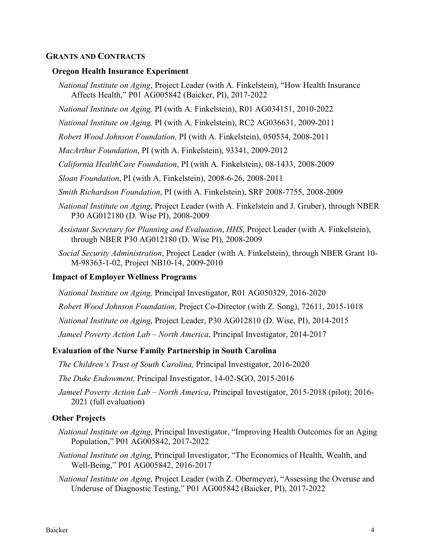## **GRANTS AND CONTRACTS**

#### **Oregon Health Insurance Experiment**

- *National Institute on Aging*, Project Leader (with A. Finkelstein), "How Health Insurance Affects Health," P01 AG005842 (Baicker, PI), 2017-2022
- *National Institute on Aging,* PI (with A. Finkelstein), R01 AG034151, 2010-2022

*National Institute on Aging,* PI (with A. Finkelstein), RC2 AG036631, 2009-2011

*Robert Wood Johnson Foundation,* PI (with A. Finkelstein), 050534, 2008-2011

- *MacArthur Foundation*, PI (with A. Finkelstein), 93341, 2009-2012
- *California HealthCare Foundation*, PI (with A. Finkelstein), 08-1433, 2008-2009
- *Sloan Foundation*, PI (with A. Finkelstein), 2008-6-26, 2008-2011
- *Smith Richardson Foundation*, PI (with A. Finkelstein), SRF 2008-7755, 2008-2009
- *National Institute on Aging*, Project Leader (with A. Finkelstein and J. Gruber), through NBER P30 AG012180 (D. Wise PI), 2008-2009
- *Assistant Secretary for Planning and Evaluation*, *HHS*, Project Leader (with A. Finkelstein), through NBER P30 AG012180 (D. Wise PI), 2008-2009
- *Social Security Administration*, Project Leader (with A. Finkelstein), through NBER Grant 10- M-98363-1-02, Project NB10-14, 2009-2010

#### **Impact of Employer Wellness Programs**

*National Institute on Aging,* Principal Investigator, R01 AG050329, 2016-2020

*Robert Wood Johnson Foundation,* Project Co-Director (with Z. Song), 72611, 2015-1018

*National Institute on Aging*, Project Leader, P30 AG012810 (D. Wise, PI), 2014-2015

*Jameel Poverty Action Lab – North America*, Principal Investigator, 2014-2017

### **Evaluation of the Nurse Family Partnership in South Carolina**

*The Children's Trust of South Carolina,* Principal Investigator, 2016-2020

*The Duke Endowment,* Principal Investigator, 14-02-SGO, 2015-2016

*Jameel Poverty Action Lab – North America*, Principal Investigator, 2015-2018 (pilot); 2016- 2021 (full evaluation)

#### **Other Projects**

- *National Institute on Aging*, Principal Investigator, "Improving Health Outcomes for an Aging Population," P01 AG005842, 2017-2022
- *National Institute on Aging*, Principal Investigator, "The Economics of Health, Wealth, and Well-Being," P01 AG005842, 2016-2017
- *National Institute on Aging*, Project Leader (with Z. Obermeyer), "Assessing the Overuse and Underuse of Diagnostic Testing," P01 AG005842 (Baicker, PI), 2017-2022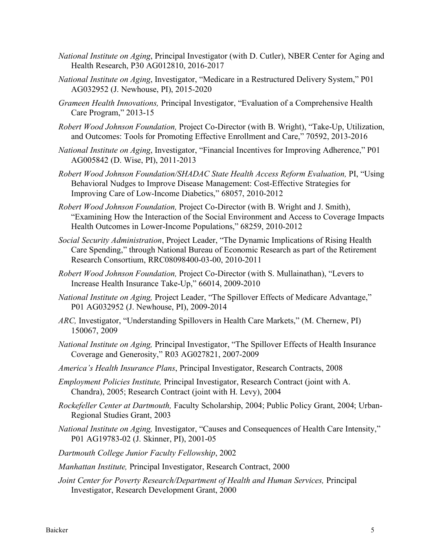- *National Institute on Aging*, Principal Investigator (with D. Cutler), NBER Center for Aging and Health Research, P30 AG012810, 2016-2017
- *National Institute on Aging*, Investigator, "Medicare in a Restructured Delivery System," P01 AG032952 (J. Newhouse, PI), 2015-2020
- *Grameen Health Innovations,* Principal Investigator, "Evaluation of a Comprehensive Health Care Program," 2013-15
- *Robert Wood Johnson Foundation,* Project Co-Director (with B. Wright), "Take-Up, Utilization, and Outcomes: Tools for Promoting Effective Enrollment and Care," 70592, 2013-2016
- *National Institute on Aging*, Investigator, "Financial Incentives for Improving Adherence," P01 AG005842 (D. Wise, PI), 2011-2013
- *Robert Wood Johnson Foundation/SHADAC State Health Access Reform Evaluation, PI, "Using* Behavioral Nudges to Improve Disease Management: Cost-Effective Strategies for Improving Care of Low-Income Diabetics," 68057, 2010-2012
- *Robert Wood Johnson Foundation,* Project Co-Director (with B. Wright and J. Smith), "Examining How the Interaction of the Social Environment and Access to Coverage Impacts Health Outcomes in Lower-Income Populations," 68259, 2010-2012
- *Social Security Administration*, Project Leader, "The Dynamic Implications of Rising Health Care Spending," through National Bureau of Economic Research as part of the Retirement Research Consortium, RRC08098400-03-00, 2010-2011
- *Robert Wood Johnson Foundation,* Project Co-Director (with S. Mullainathan), "Levers to Increase Health Insurance Take-Up," 66014, 2009-2010
- *National Institute on Aging,* Project Leader, "The Spillover Effects of Medicare Advantage," P01 AG032952 (J. Newhouse, PI), 2009-2014
- *ARC,* Investigator, "Understanding Spillovers in Health Care Markets," (M. Chernew, PI) 150067, 2009
- *National Institute on Aging,* Principal Investigator, "The Spillover Effects of Health Insurance Coverage and Generosity," R03 AG027821, 2007-2009
- *America's Health Insurance Plans*, Principal Investigator, Research Contracts, 2008
- *Employment Policies Institute,* Principal Investigator, Research Contract (joint with A. Chandra), 2005; Research Contract (joint with H. Levy), 2004
- *Rockefeller Center at Dartmouth,* Faculty Scholarship, 2004; Public Policy Grant, 2004; Urban-Regional Studies Grant, 2003
- *National Institute on Aging,* Investigator, "Causes and Consequences of Health Care Intensity," P01 AG19783-02 (J. Skinner, PI), 2001-05
- *Dartmouth College Junior Faculty Fellowship*, 2002
- *Manhattan Institute,* Principal Investigator, Research Contract, 2000
- *Joint Center for Poverty Research/Department of Health and Human Services,* Principal Investigator, Research Development Grant, 2000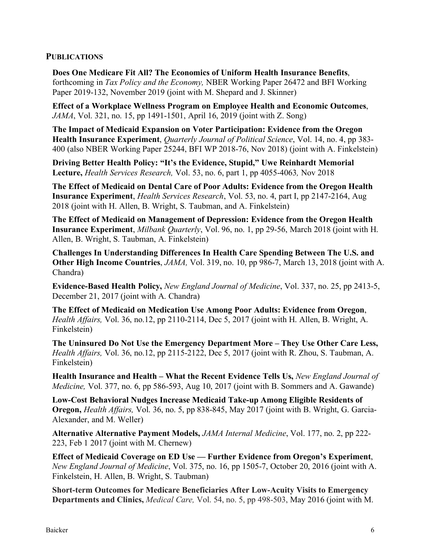# **PUBLICATIONS**

**Does One Medicare Fit All? The Economics of Uniform Health Insurance Benefits**, forthcoming in *Tax Policy and the Economy,* NBER Working Paper 26472 and BFI Working Paper 2019-132, November 2019 (joint with M. Shepard and J. Skinner)

**Effect of a Workplace Wellness Program on Employee Health and Economic Outcomes**, *JAMA*, Vol. 321, no. 15, pp 1491-1501, April 16, 2019 (joint with Z. Song)

**The Impact of Medicaid Expansion on Voter Participation: Evidence from the Oregon Health Insurance Experiment**, *Quarterly Journal of Political Science*, Vol. 14, no. 4, pp 383- 400 (also NBER Working Paper 25244, BFI WP 2018-76, Nov 2018) (joint with A. Finkelstein)

**Driving Better Health Policy: "It's the Evidence, Stupid," Uwe Reinhardt Memorial Lecture,** *Health Services Research,* Vol. 53, no. 6, part 1, pp 4055-4063*,* Nov 2018

**The Effect of Medicaid on Dental Care of Poor Adults: Evidence from the Oregon Health Insurance Experiment**, *Health Services Research*, Vol. 53, no. 4, part I, pp 2147-2164, Aug 2018 (joint with H. Allen, B. Wright, S. Taubman, and A. Finkelstein)

**The Effect of Medicaid on Management of Depression: Evidence from the Oregon Health Insurance Experiment**, *Milbank Quarterly*, Vol. 96, no. 1, pp 29-56, March 2018 (joint with H. Allen, B. Wright, S. Taubman, A. Finkelstein)

**Challenges In Understanding Differences In Health Care Spending Between The U.S. and Other High Income Countries**, *JAMA,* Vol. 319, no. 10, pp 986-7, March 13, 2018 (joint with A. Chandra)

**Evidence-Based Health Policy,** *New England Journal of Medicine*, Vol. 337, no. 25, pp 2413-5, December 21, 2017 (joint with A. Chandra)

**The Effect of Medicaid on Medication Use Among Poor Adults: Evidence from Oregon**, *Health Affairs,* Vol. 36, no.12, pp 2110-2114, Dec 5, 2017 (joint with H. Allen, B. Wright, A. Finkelstein)

**The Uninsured Do Not Use the Emergency Department More – They Use Other Care Less,**  *Health Affairs,* Vol. 36, no.12, pp 2115-2122, Dec 5, 2017 (joint with R. Zhou, S. Taubman, A. Finkelstein)

**Health Insurance and Health – What the Recent Evidence Tells Us,** *New England Journal of Medicine,* Vol. 377, no. 6, pp 586-593, Aug 10, 2017 (joint with B. Sommers and A. Gawande)

**Low-Cost Behavioral Nudges Increase Medicaid Take-up Among Eligible Residents of Oregon,** *Health Affairs,* Vol. 36, no. 5, pp 838-845, May 2017 (joint with B. Wright, G. Garcia-Alexander, and M. Weller)

**Alternative Alternative Payment Models,** *JAMA Internal Medicine*, Vol. 177, no. 2, pp 222- 223, Feb 1 2017 (joint with M. Chernew)

**Effect of Medicaid Coverage on ED Use — Further Evidence from Oregon's Experiment**, *New England Journal of Medicine*, Vol. 375, no. 16, pp 1505-7, October 20, 2016 (joint with A. Finkelstein, H. Allen, B. Wright, S. Taubman)

**Short-term Outcomes for Medicare Beneficiaries After Low-Acuity Visits to Emergency Departments and Clinics,** *Medical Care,* Vol. 54, no. 5, pp 498-503, May 2016 (joint with M.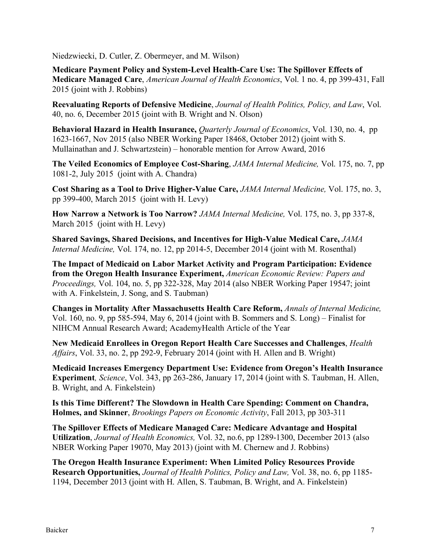Niedzwiecki, D. Cutler, Z. Obermeyer, and M. Wilson)

**Medicare Payment Policy and System-Level Health-Care Use: The Spillover Effects of Medicare Managed Care**, *American Journal of Health Economics*, Vol. 1 no. 4, pp 399-431, Fall 2015 (joint with J. Robbins)

**Reevaluating Reports of Defensive Medicine**, *Journal of Health Politics, Policy, and Law*, Vol. 40, no. 6, December 2015 (joint with B. Wright and N. Olson)

**Behavioral Hazard in Health Insurance,** *Quarterly Journal of Economics*, Vol. 130, no. 4, pp 1623-1667, Nov 2015 (also NBER Working Paper 18468, October 2012) (joint with S. Mullainathan and J. Schwartzstein) – honorable mention for Arrow Award, 2016

**The Veiled Economics of Employee Cost-Sharing**, *JAMA Internal Medicine,* Vol. 175, no. 7, pp 1081-2, July 2015 (joint with A. Chandra)

**Cost Sharing as a Tool to Drive Higher-Value Care,** *JAMA Internal Medicine,* Vol. 175, no. 3, pp 399-400, March 2015 (joint with H. Levy)

**How Narrow a Network is Too Narrow?** *JAMA Internal Medicine,* Vol. 175, no. 3, pp 337-8, March 2015 (joint with H. Levy)

**Shared Savings, Shared Decisions, and Incentives for High-Value Medical Care,** *JAMA Internal Medicine,* Vol. 174, no. 12, pp 2014-5, December 2014 (joint with M. Rosenthal)

**The Impact of Medicaid on Labor Market Activity and Program Participation: Evidence from the Oregon Health Insurance Experiment,** *American Economic Review: Papers and Proceedings,* Vol. 104, no. 5, pp 322-328, May 2014 (also NBER Working Paper 19547; joint with A. Finkelstein, J. Song, and S. Taubman)

**Changes in Mortality After Massachusetts Health Care Reform,** *Annals of Internal Medicine,*  Vol. 160, no. 9, pp 585-594, May 6, 2014 (joint with B. Sommers and S. Long) – Finalist for NIHCM Annual Research Award; AcademyHealth Article of the Year

**New Medicaid Enrollees in Oregon Report Health Care Successes and Challenges**, *Health Affairs*, Vol. 33, no. 2, pp 292-9, February 2014 (joint with H. Allen and B. Wright)

**Medicaid Increases Emergency Department Use: Evidence from Oregon's Health Insurance Experiment***, Science*, Vol. 343, pp 263-286, January 17, 2014 (joint with S. Taubman, H. Allen, B. Wright, and A. Finkelstein)

**Is this Time Different? The Slowdown in Health Care Spending: Comment on Chandra, Holmes, and Skinner**, *Brookings Papers on Economic Activity*, Fall 2013, pp 303-311

**The Spillover Effects of Medicare Managed Care: Medicare Advantage and Hospital Utilization**, *Journal of Health Economics,* Vol. 32, no.6, pp 1289-1300, December 2013 (also NBER Working Paper 19070, May 2013) (joint with M. Chernew and J. Robbins)

**The Oregon Health Insurance Experiment: When Limited Policy Resources Provide Research Opportunities,** *Journal of Health Politics, Policy and Law,* Vol. 38, no. 6, pp 1185- 1194, December 2013 (joint with H. Allen, S. Taubman, B. Wright, and A. Finkelstein)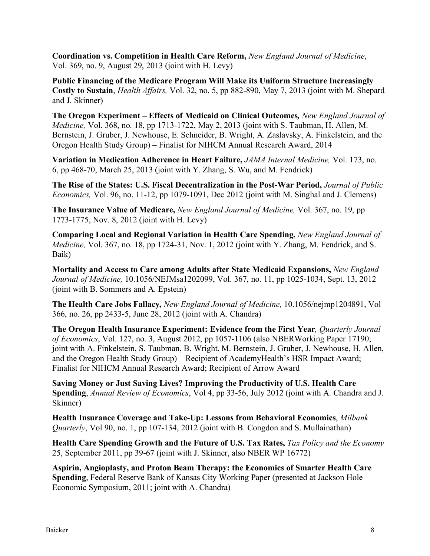**Coordination vs. Competition in Health Care Reform,** *New England Journal of Medicine*, Vol. 369, no. 9, August 29, 2013 (joint with H. Levy)

**Public Financing of the Medicare Program Will Make its Uniform Structure Increasingly Costly to Sustain**, *Health Affairs,* Vol. 32, no. 5, pp 882-890, May 7, 2013 (joint with M. Shepard and J. Skinner)

**The Oregon Experiment – Effects of Medicaid on Clinical Outcomes***, New England Journal of Medicine,* Vol. 368, no. 18, pp 1713-1722, May 2, 2013 (joint with S. Taubman, H. Allen, M. Bernstein, J. Gruber, J. Newhouse, E. Schneider, B. Wright, A. Zaslavsky, A. Finkelstein, and the Oregon Health Study Group) – Finalist for NIHCM Annual Research Award, 2014

**Variation in Medication Adherence in Heart Failure,** *JAMA Internal Medicine,* Vol. 173, no. 6, pp 468-70, March 25, 2013 (joint with Y. Zhang, S. Wu, and M. Fendrick)

**The Rise of the States: U.S. Fiscal Decentralization in the Post-War Period,** *Journal of Public Economics,* Vol. 96, no. 11-12, pp 1079-1091, Dec 2012 (joint with M. Singhal and J. Clemens)

**The Insurance Value of Medicare,** *New England Journal of Medicine,* Vol. 367, no. 19, pp 1773-1775, Nov. 8, 2012 (joint with H. Levy)

**Comparing Local and Regional Variation in Health Care Spending,** *New England Journal of Medicine,* Vol. 367, no. 18, pp 1724-31, Nov. 1, 2012 (joint with Y. Zhang, M. Fendrick, and S. Baik)

**Mortality and Access to Care among Adults after State Medicaid Expansions,** *New England Journal of Medicine,* 10.1056/NEJMsa1202099, Vol. 367, no. 11, pp 1025-1034, Sept. 13, 2012 (joint with B. Sommers and A. Epstein)

**The Health Care Jobs Fallacy,** *New England Journal of Medicine,* 10.1056/nejmp1204891, Vol 366, no. 26, pp 2433-5, June 28, 2012 (joint with A. Chandra)

**The Oregon Health Insurance Experiment: Evidence from the First Year***, Quarterly Journal of Economics*, Vol. 127, no. 3, August 2012, pp 1057-1106 (also NBERWorking Paper 17190; joint with A. Finkelstein, S. Taubman, B. Wright, M. Bernstein, J. Gruber, J. Newhouse, H. Allen, and the Oregon Health Study Group) – Recipient of AcademyHealth's HSR Impact Award; Finalist for NIHCM Annual Research Award; Recipient of Arrow Award

**Saving Money or Just Saving Lives? Improving the Productivity of U.S. Health Care Spending**, *Annual Review of Economics*, Vol 4, pp 33-56, July 2012 (joint with A. Chandra and J. Skinner)

**Health Insurance Coverage and Take-Up: Lessons from Behavioral Economics**, *Milbank Quarterly*, Vol 90, no. 1, pp 107-134, 2012 (joint with B. Congdon and S. Mullainathan)

**Health Care Spending Growth and the Future of U.S. Tax Rates,** *Tax Policy and the Economy*  25, September 2011, pp 39-67 (joint with J. Skinner, also NBER WP 16772)

**Aspirin, Angioplasty, and Proton Beam Therapy: the Economics of Smarter Health Care Spending**, Federal Reserve Bank of Kansas City Working Paper (presented at Jackson Hole Economic Symposium, 2011; joint with A. Chandra)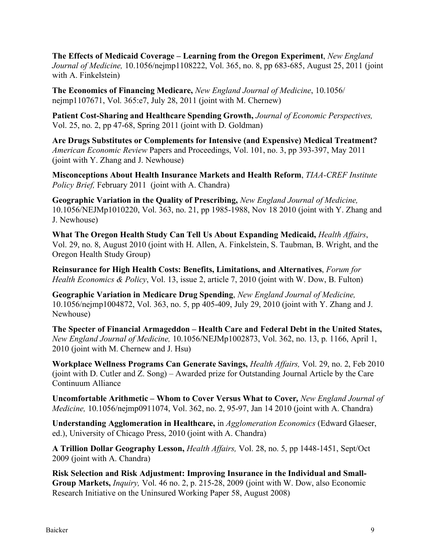**The Effects of Medicaid Coverage – Learning from the Oregon Experiment**, *New England Journal of Medicine,* 10.1056/nejmp1108222, Vol. 365, no. 8, pp 683-685, August 25, 2011 (joint with A. Finkelstein)

**The Economics of Financing Medicare,** *New England Journal of Medicine*, 10.1056/ nejmp1107671, Vol. 365:e7, July 28, 2011 (joint with M. Chernew)

**Patient Cost-Sharing and Healthcare Spending Growth,** *Journal of Economic Perspectives,*  Vol. 25, no. 2, pp 47-68, Spring 2011 (joint with D. Goldman)

**Are Drugs Substitutes or Complements for Intensive (and Expensive) Medical Treatment?**  *American Economic Review* Papers and Proceedings, Vol. 101, no. 3, pp 393-397, May 2011 (joint with Y. Zhang and J. Newhouse)

**Misconceptions About Health Insurance Markets and Health Reform**, *TIAA-CREF Institute Policy Brief,* February 2011 (joint with A. Chandra)

**Geographic Variation in the Quality of Prescribing,** *New England Journal of Medicine,*  10.1056/NEJMp1010220, Vol. 363, no. 21, pp 1985-1988, Nov 18 2010 (joint with Y. Zhang and J. Newhouse)

**What The Oregon Health Study Can Tell Us About Expanding Medicaid,** *Health Affairs*, Vol. 29, no. 8, August 2010 (joint with H. Allen, A. Finkelstein, S. Taubman, B. Wright, and the Oregon Health Study Group)

**Reinsurance for High Health Costs: Benefits, Limitations, and Alternatives**, *Forum for Health Economics & Policy*, Vol. 13, issue 2, article 7, 2010 (joint with W. Dow, B. Fulton)

**Geographic Variation in Medicare Drug Spending**, *New England Journal of Medicine,*  10.1056/nejmp1004872, Vol. 363, no. 5, pp 405-409, July 29, 2010 (joint with Y. Zhang and J. Newhouse)

**The Specter of Financial Armageddon – Health Care and Federal Debt in the United States,**  *New England Journal of Medicine,* 10.1056/NEJMp1002873, Vol. 362, no. 13, p. 1166, April 1, 2010 (joint with M. Chernew and J. Hsu)

**Workplace Wellness Programs Can Generate Savings,** *Health Affairs,* Vol. 29, no. 2, Feb 2010 (joint with D. Cutler and Z. Song) – Awarded prize for Outstanding Journal Article by the Care Continuum Alliance

**Uncomfortable Arithmetic – Whom to Cover Versus What to Cover***, New England Journal of Medicine,* 10.1056/nejmp0911074, Vol. 362, no. 2, 95-97, Jan 14 2010 (joint with A. Chandra)

**Understanding Agglomeration in Healthcare,** in *Agglomeration Economics* (Edward Glaeser, ed.), University of Chicago Press, 2010 (joint with A. Chandra)

**A Trillion Dollar Geography Lesson,** *Health Affairs,* Vol. 28, no. 5, pp 1448-1451, Sept/Oct 2009 (joint with A. Chandra)

**Risk Selection and Risk Adjustment: Improving Insurance in the Individual and Small-Group Markets,** *Inquiry,* Vol. 46 no. 2, p. 215-28, 2009 (joint with W. Dow, also Economic Research Initiative on the Uninsured Working Paper 58, August 2008)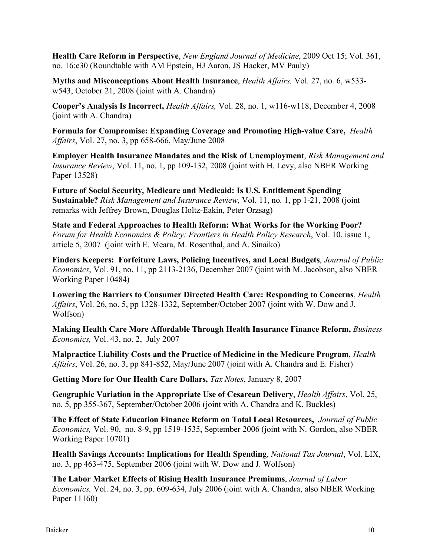**Health Care Reform in Perspective**, *New England Journal of Medicine*, 2009 Oct 15; Vol. 361, no. 16:e30 (Roundtable with AM Epstein, HJ Aaron, JS Hacker, MV Pauly)

**Myths and Misconceptions About Health Insurance**, *Health Affairs,* Vol. 27, no. 6, w533 w543, October 21, 2008 (joint with A. Chandra)

**Cooper's Analysis Is Incorrect,** *Health Affairs,* Vol. 28, no. 1, w116-w118, December 4, 2008 (joint with A. Chandra)

**Formula for Compromise: Expanding Coverage and Promoting High-value Care,** *Health Affairs*, Vol. 27, no. 3, pp 658-666, May/June 2008

**Employer Health Insurance Mandates and the Risk of Unemployment**, *Risk Management and Insurance Review*, Vol. 11, no. 1, pp 109-132, 2008 (joint with H. Levy, also NBER Working Paper 13528)

**Future of Social Security, Medicare and Medicaid: Is U.S. Entitlement Spending Sustainable?** *Risk Management and Insurance Review*, Vol. 11, no. 1, pp 1-21, 2008 (joint remarks with Jeffrey Brown, Douglas Holtz-Eakin, Peter Orzsag)

**State and Federal Approaches to Health Reform: What Works for the Working Poor?**  *Forum for Health Economics & Policy: Frontiers in Health Policy Research*, Vol. 10, issue 1, article 5, 2007 (joint with E. Meara, M. Rosenthal, and A. Sinaiko)

**Finders Keepers: Forfeiture Laws, Policing Incentives, and Local Budgets**, *Journal of Public Economics*, Vol. 91, no. 11, pp 2113-2136, December 2007 (joint with M. Jacobson, also NBER Working Paper 10484)

**Lowering the Barriers to Consumer Directed Health Care: Responding to Concerns**, *Health Affairs*, Vol. 26, no. 5, pp 1328-1332, September/October 2007 (joint with W. Dow and J. Wolfson)

**Making Health Care More Affordable Through Health Insurance Finance Reform,** *Business Economics,* Vol. 43, no. 2, July 2007

**Malpractice Liability Costs and the Practice of Medicine in the Medicare Program,** *Health Affairs*, Vol. 26, no. 3, pp 841-852, May/June 2007 (joint with A. Chandra and E. Fisher)

**Getting More for Our Health Care Dollars,** *Tax Notes*, January 8, 2007

**Geographic Variation in the Appropriate Use of Cesarean Delivery**, *Health Affairs*, Vol. 25, no. 5, pp 355-367, September/October 2006 (joint with A. Chandra and K. Buckles)

**The Effect of State Education Finance Reform on Total Local Resources,** *Journal of Public Economics,* Vol. 90, no. 8-9, pp 1519-1535, September 2006 (joint with N. Gordon, also NBER Working Paper 10701)

**Health Savings Accounts: Implications for Health Spending**, *National Tax Journal*, Vol. LIX, no. 3, pp 463-475, September 2006 (joint with W. Dow and J. Wolfson)

**The Labor Market Effects of Rising Health Insurance Premiums**, *Journal of Labor Economics,* Vol. 24, no. 3, pp. 609-634, July 2006 (joint with A. Chandra, also NBER Working Paper 11160)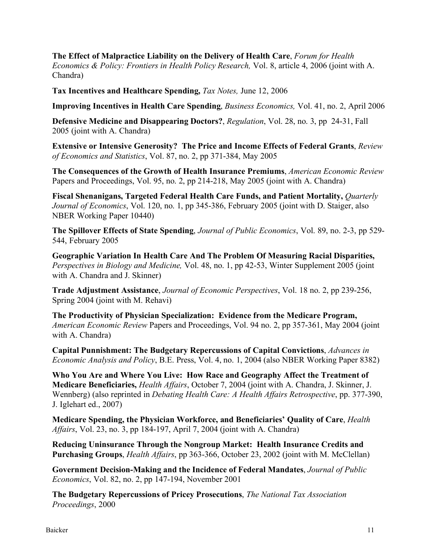**The Effect of Malpractice Liability on the Delivery of Health Care**, *Forum for Health Economics & Policy: Frontiers in Health Policy Research,* Vol. 8, article 4, 2006 (joint with A. Chandra)

**Tax Incentives and Healthcare Spending,** *Tax Notes,* June 12, 2006

**Improving Incentives in Health Care Spending**, *Business Economics,* Vol. 41, no. 2, April 2006

**Defensive Medicine and Disappearing Doctors?**, *Regulation*, Vol. 28, no. 3, pp 24-31, Fall 2005 (joint with A. Chandra)

**Extensive or Intensive Generosity? The Price and Income Effects of Federal Grants**, *Review of Economics and Statistics*, Vol. 87, no. 2, pp 371-384, May 2005

**The Consequences of the Growth of Health Insurance Premiums**, *American Economic Review* Papers and Proceedings, Vol. 95, no. 2, pp 214-218, May 2005 (joint with A. Chandra)

**Fiscal Shenanigans, Targeted Federal Health Care Funds, and Patient Mortality,** *Quarterly Journal of Economics*, Vol. 120, no. 1, pp 345-386, February 2005 (joint with D. Staiger, also NBER Working Paper 10440)

**The Spillover Effects of State Spending**, *Journal of Public Economics*, Vol. 89, no. 2-3, pp 529- 544, February 2005

**Geographic Variation In Health Care And The Problem Of Measuring Racial Disparities,**  *Perspectives in Biology and Medicine,* Vol. 48, no. 1, pp 42-53, Winter Supplement 2005 (joint with A. Chandra and J. Skinner)

**Trade Adjustment Assistance**, *Journal of Economic Perspectives*, Vol. 18 no. 2, pp 239-256, Spring 2004 (joint with M. Rehavi)

**The Productivity of Physician Specialization: Evidence from the Medicare Program,**  *American Economic Review* Papers and Proceedings, Vol. 94 no. 2, pp 357-361, May 2004 (joint with A. Chandra)

**Capital Punnishment: The Budgetary Repercussions of Capital Convictions**, *Advances in Economic Analysis and Policy*, B.E. Press, Vol. 4, no. 1, 2004 (also NBER Working Paper 8382)

**Who You Are and Where You Live: How Race and Geography Affect the Treatment of Medicare Beneficiaries,** *Health Affairs*, October 7, 2004 (joint with A. Chandra, J. Skinner, J. Wennberg) (also reprinted in *Debating Health Care: A Health Affairs Retrospective*, pp. 377-390, J. Iglehart ed., 2007)

**Medicare Spending, the Physician Workforce, and Beneficiaries' Quality of Care**, *Health Affairs*, Vol. 23, no. 3, pp 184-197, April 7, 2004 (joint with A. Chandra)

**Reducing Uninsurance Through the Nongroup Market: Health Insurance Credits and Purchasing Groups**, *Health Affairs*, pp 363-366, October 23, 2002 (joint with M. McClellan)

**Government Decision-Making and the Incidence of Federal Mandates**, *Journal of Public Economics*, Vol. 82, no. 2, pp 147-194, November 2001

**The Budgetary Repercussions of Pricey Prosecutions**, *The National Tax Association Proceedings*, 2000